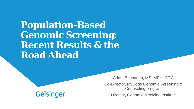**Population-Based Genomic Screening: Recent Results & the Road Ahead**

**Geisinger** 

Adam Buchanan, MS, MPH, CGC

Co-Director, MyCode Genomic Screening & Counseling program

Director, Genomic Medicine Institute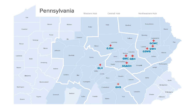#### Pennsylvania

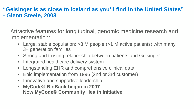### **"Geisinger is as close to Iceland as you'll find in the United States" - Glenn Steele, 2003**

Attractive features for longitudinal, genomic medicine research and implementation:

- Large, stable population: > 3 M people (> 1 M active patients) with many 3+ generation families
- Strong and trusting relationship between patients and Geisinger
- Integrated healthcare delivery system
- Longstanding EHR and comprehensive clinical data
- Epic implementation from 1996 (2nd or 3rd customer)
- Innovative and supportive leadership
- **MyCode® BioBank began in 2007 Now MyCode® Community Health Initiative**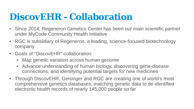# **DiscovEHR - Collaboration**

- Since 2014, Regeneron Genetics Center has been our main scientific partner under MyCode Community Health Initiative
- RGC is subsidiary of Regeneron, a leading, science-focused biotechnology company
- Goals of "DiscovEHR" collaboration:
	- Map genetic variation across human genome
	- Advance understanding of human biology, discovering gene-disease connections, and identifying potential targets for new medicines
- Through DiscovEHR, Geisinger and RGC are creating one of world's most comprehensive genetics databases, matching genetic data to de-identified electronic health records of nearly 145,000 people so far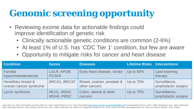# **Genomic screening opportunity**

- Reviewing exome data for actionable findings could improve identification of genetic risk
	- Clinically actionable genetic conditions are common (2-6%)
	- At least 1% of U.S. has 'CDC Tier 1' condition, but few are aware
	- Opportunity to mitigate risks for cancer and heart disease

| <b>Condition</b>                               | <b>Genes</b>              | <b>Diseases</b>                              | <b>Lifetime Risks Interventions</b> |                                       |
|------------------------------------------------|---------------------------|----------------------------------------------|-------------------------------------|---------------------------------------|
| <b>Familial</b><br>hypercholesterolemia        | LDLR, APOB,<br>PCSK9      | Early heart disease, stroke                  | Up to $50\%$                        | <b>Lipid lowering</b><br>therapy      |
| Hereditary breast &<br>ovarian cancer syndrome | <b>BRCA1, BRCA2</b>       | Breast, ovarian, prostate &<br>other cancers | Up to $70\%$                        | Surveillance,<br>prophylactic surgery |
| Lynch syndrome                                 | MLH1, MSH2,<br>MSH6, PMS2 | Colon, uterine & other<br>cancers            | Up to $70\%$                        | Surveillance,<br>prophylactic surgery |

Green RC et al., 2013, Genet Med; Dorschner MO et al., 2013, AJHG; Retterer K et al., 2015; Genet Med; <https://www.ncbi.nlm.nih.gov/books/NBK1116/>; Kuchenbaecker KB et al., 2017, JAMA; Manickam K et al., 2018, JAMA Netw Open; Abul-Husn NS et al., 2016, Science; Win AK et al., 2017, CEBP; Austin MA et al., 2004, Am J Epidemiol; Hampel H et al., 2011, Cancer Prev Res; Nordestgaard BG et al., 2013, Eur Heart J; King MC, 2014, JAMAs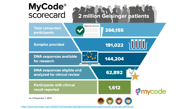

<https://www.geisinger.org/-/media/OneGeisinger/pdfs/ghs/research/mycode/mycode-scorecard.pdf?la=en>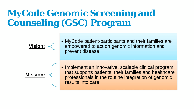# **MyCode Genomic Screening and Counseling (GSC) Program**



• MyCode patient-participants and their families are empowered to act on genomic information and prevent disease



• Implement an innovative, scalable clinical program that supports patients, their families and healthcare professionals in the routine integration of genomic results into care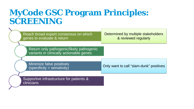## **MyCode GSC Program Principles: SCREENING**

| Reach broad expert consensus on which<br>genes to evaluate & return                 | Determined by multiple stakeholders<br>& reviewed regularly |  |
|-------------------------------------------------------------------------------------|-------------------------------------------------------------|--|
| Return only pathogenic/likely pathogenic<br>variants in clinically actionable genes |                                                             |  |
| Minimize false positives<br>(specificity > sensitivity)                             | Only want to call "slam-dunk" positives                     |  |
| Supportive infrastructure for patients &<br><b>clinicians</b>                       |                                                             |  |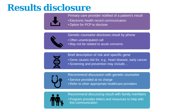## **Results disclosure**



Primary care provider notified of a patient's result

- Electronic health record communication
- Option for PCP to disclose



Genetic counselor discloses result by phone

- Often unanticipated call
- May not be related to acute concerns



Brief description of risk and specific gene

• Gene causes risk for, e.g., heart disease, early cancer • Screening and prevention may include…



Recommend discussion with genetic counselor

- Service provided at no charge
- Refer to other appropriate healthcare providers



Recommend discussing result with family members

• Program provides letters and resources to help with this communication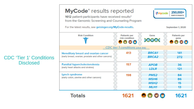#### CDC 'Tier 1' Conditions **Disclosed**

| MyCode <sup>®</sup> results reported<br>250,000+<br><b><i><u></u></i></b> <i>mycode</i><br><b>PARTICIPANTS</b><br>1612 patient-participants have received results*<br>from the Genomic Screening and Counseling Program<br>For the latest results, see geisinger.org/MyCode-results.<br>September 1, 2020 |                                           |                                                                         |                             |
|-----------------------------------------------------------------------------------------------------------------------------------------------------------------------------------------------------------------------------------------------------------------------------------------------------------|-------------------------------------------|-------------------------------------------------------------------------|-----------------------------|
| <b>Risk Condition</b>                                                                                                                                                                                                                                                                                     | <b>Patients per</b><br>risk condition     | Gene<br><b>MINIMINI</b>                                                 | <b>Patients per</b><br>gene |
|                                                                                                                                                                                                                                                                                                           | <b>CDC</b> tier 1 conditions (click link) |                                                                         |                             |
| Hereditary breast and ovarian cancer<br>(early breast, ovarian, prostate and other cancers)                                                                                                                                                                                                               | 413                                       | <b>BRCA1</b><br><b>BRCA2</b>                                            | 141<br>272                  |
| <b>Familial hypercholesterolemia</b><br>(early heart attacks and strokes)                                                                                                                                                                                                                                 | 157                                       | <b>APOB</b><br><b>LDLR</b>                                              | 36<br>121                   |
| Lynch syndrome<br>(early colon, uterine and other cancers)                                                                                                                                                                                                                                                | 198                                       | PMS <sub>2</sub><br><b>MSH6</b><br>MSH <sub>2</sub><br>MLH <sub>1</sub> | 84<br>86<br>15<br>13        |
| Totals                                                                                                                                                                                                                                                                                                    |                                           |                                                                         | 1621                        |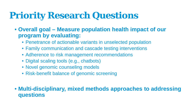# **Priority Research Questions**

- **Overall goal – Measure population health impact of our program by evaluating:**
	- Penetrance of actionable variants in unselected population
	- Family communication and cascade testing interventions
	- Adherence to risk management recommendations
	- Digital scaling tools (e.g., chatbots)
	- Novel genomic counseling models
	- Risk-benefit balance of genomic screening

• **Multi-disciplinary, mixed methods approaches to addressing questions**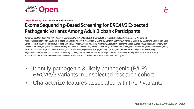

#### **Original Investigation | Genetics and Genomics**

#### Exome Sequencing-Based Screening for BRCA1/2 Expected Pathogenic Variants Among Adult Biobank Participants

Kandamurugu Manickam, MD, MPH; Adam H. Buchanan, MS, MPH; Marci L. B. Schwartz, ScM; Miranda L. G. Hallquist, MSc; Janet L. Williams, MS; Alanna Kulchak Rahm, PhD, MS; Heather Rocha, MS; Juliann M. Savatt, MS; Alyson E. Evans, BS; Loren M. Butry, MS; Amanda L. Lazzeri, BS; D'Andra M. Lindbuchler, MSN; Carroll N. Flansburg, MPH; Rosemary Leeming, MD, MHCM; Victor G. Vogel, MD, MHS; Matthew S. Lebo, PhD; Heather M. Mason-Suares, PhD; Derick C. Hoskinson, PhD; Noura S. Abul-Husn, MD, PhD; Frederick E. Dewey, MD; John D. Overton, PhD; Jeffrey G. Reid, PhD; Aris Baras, MD; Huntington F. Willard, PhD; Cara Z. McCormick, MPH; Sarath B. Krishnamurthy, PhD; Dustin N. Hartzel, BS; Korey A. Kost, BS; Daniel R. Lavage, BS; Amy C. Sturm, MS; Lauren R. Frisbie, BS; T. Nate Person, MS; Raghu P. Metpally, PhD; Monica A. Giovanni, MS; Lacy E. Lowry, MD; Joseph B. Leader, BA; Marylyn D. Ritchie, PhD; David J. Carey, PhD; Anne E. Justice, PhD; H. Lester Kirchner, PhD; W. Andrew Faucett, MS; Marc S. Williams, MD; David H. Ledbetter, PhD; Michael F. Murray, MD

- Identify pathogenic & likely pathogenic (P/LP) *BRCA1/2* variants in unselected research cohort
- Characterize features associated with P/LP variants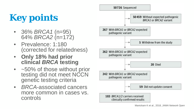# **Key points**

- 36% *BRCA1* (n=95) 64% *BRCA2* (n=172)
- Prevalence: 1:180 (corrected for relatedness)
- **Only 18% had prior clinical** *BRCA* **testing**
- ~50% of those without prior testing did not meet NCCN genetic testing criteria
- *BRCA*-associated cancers more common in cases vs. controls

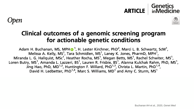#### Genetics **ARTICLE** inMedicine





## Clinical outcomes of a genomic screening program for actionable genetic conditions

Adam H. Buchanan, MS, MPH<sup>®</sup><sup>1</sup>, H. Lester Kirchner, PhD<sup>2</sup>, Marci L. B. Schwartz, ScM<sup>1</sup>, Melissa A. Kelly, MS<sup>1</sup>, Tara Schmidlen, MS<sup>1</sup>, Laney K. Jones, PharmD, MPH<sup>1</sup>, Miranda L. G. Hallquist, MSc<sup>1</sup>, Heather Rocha, MS<sup>1</sup>, Megan Betts, MS<sup>1</sup>, Rachel Schwiter, MS<sup>1</sup>, Loren Butry, MS<sup>1</sup>, Amanda L. Lazzeri, BS<sup>1</sup>, Lauren R. Frisbie, BS<sup>1</sup>, Alanna Kulchak Rahm, PhD, MS<sup>1</sup>, Jing Hao, PhD, MD<sup>1,2</sup>, Huntington F. Willard, PhD<sup>1,3</sup>, Christa L. Martin, PhD<sup>1,4</sup>, David H. Ledbetter, PhD<sup>1,4</sup>, Marc S. Williams, MD<sup>1</sup> and Amy C. Sturm, MS<sup>1</sup>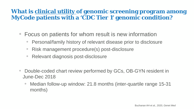## **What is clinical utility of genomic screening program among MyCode patients with a 'CDC Tier 1' genomic condition?**

- Focus on patients for whom result is new information
	- Personal/family history of relevant disease prior to disclosure
	- Risk management procedure(s) post-disclosure
	- Relevant diagnosis post-disclosure
- Double-coded chart review performed by GCs, OB-GYN resident in June-Dec 2018
	- Median follow-up window: 21.8 months (inter-quartile range 15-31 months)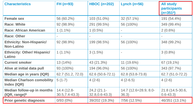| <b>Characteristics</b>                                 | $FH (n=93)$                       | HBOC $(n=202)$                      | Lynch $(n=56)$                 | <b>All study</b><br><b>participants</b><br>$(n=351a)$ |
|--------------------------------------------------------|-----------------------------------|-------------------------------------|--------------------------------|-------------------------------------------------------|
| <b>Female sex</b>                                      | 56 (60.2%)                        | 103 (51.0%)                         | 32 (57.1%)                     | 191 (54.4%)                                           |
| <b>Race: White</b>                                     | 92 (98.9%)                        | 291 (99.5%)                         | 56 (100%)                      | 349 (99.4%)                                           |
| <b>Race: African American</b>                          | $1(1.1\%)$                        | $1(0.5\%)$                          | $\blacksquare$                 | $2(0.6\%)$                                            |
| <b>Race: Other</b>                                     |                                   |                                     |                                |                                                       |
| <b>Ethnicity: Non-Hispanic/</b><br><b>Non-Latino</b>   | 92 (98.9%)                        | 199 (98.5%)                         | 56 (100%)                      | 348 (99.2%)                                           |
| <b>Ethnicity: Other/ Hispanic/</b><br><b>Latino</b>    | $1(1.1\%)$                        | 3(1.5%)                             | $\overline{\phantom{a}}$       | $3(0.8\%)$                                            |
| <b>Current smoker</b>                                  | 13(14%)                           | 43 (21.3%)                          | 11 (19.6%)                     | 67 (19,1%)                                            |
| Alive at initial data pull                             | 93 (100%)                         | 194 (96.0%)                         | 56 (100%)                      | 343 (97.7%)                                           |
| <b>Median age in years (IQR)</b>                       | 62.7 (51.2, 72.0)                 | 62.6 (50.6-72.1)                    | 62.8 (53.8-73.8)               | 62.7 (51.0-72.2)                                      |
| <b>Median Charlson comobility</b><br>Index (IQR)       | $5(1-7)$                          | $4(2-6)$                            | $4(2-6.5)$                     | $4(2-6)$                                              |
| <b>Median follow-up in months</b><br>$( IQR, range)^b$ | 14.4 (12.8-<br>$30.5, 7.4 - 43.3$ | $24,2(21.1-$<br>$32.8, 0.6 - 43.3)$ | 14.7 (12.6=28.9, 8.0-<br>36.3) | 21.8 (14.5-30.6,<br>$0.6 - 43.3)$                     |
| <b>Prior genetic diagnosis</b>                         | 0/93(0%)                          | 39/202 (19.3%)                      | $7/56$ (12.5%)                 | 46/351 (13.1%)                                        |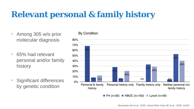## **Relevant personal & family history**

- Among 305 w/o prior molecular diagnosis
- 65% had relevant personal and/or family history
- Significant differences by genetic condition



 $\blacksquare$  FH (n=93)  $\blacksquare$  HBOC (n=163)  $\blacksquare$  Lynch (n=49)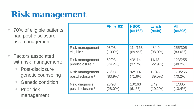# **Risk management**

- 70% of eligible patients had post-disclosure risk management
- Factors associated with risk management:
	- Post-disclosure genetic counseling
	- Genetic condition
	- Prior risk management

|                             | $FH(n=93)$ | <b>HBOC</b><br>$(n=163)$ | Lynch<br>$(n=49)$ | <b>All</b><br>$(n=305)$ |
|-----------------------------|------------|--------------------------|-------------------|-------------------------|
| Risk management             | 93/93      | 114/163                  | 48/49             | 255/305                 |
| eligible <sup>a</sup>       | $(100\%)$  | $(69.9\%)$               | $(98.0\%)$        | $(83.6\%)$              |
| Risk management             | 69/93      | 43/114                   | 11/48             | 123/255                 |
| predisclosure b             | (74.2%)    | $(37.7\%)$               | $(22.9\%)$        | $(48.2\%)$              |
| <b>Risk management</b>      | 78/93      | 82/114                   | 19/48             | 179/255                 |
| postdisclosure c            | $(83.9\%)$ | $(71.9\%)$               | (39.5%)           | $(70.2\%)$              |
| New diagnosis               | 26/93      | 10/163                   | 5/49              | 41/305                  |
| postdisclosure <sup>d</sup> | $(28.0\%)$ | $(6.1\%)$                | $(10.2\%)$        | $(13.4\%)$              |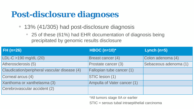## **Post-disclosure diagnoses**

- 13% (41/305) had post-disclosure diagnosis
	- 25 of these (61%) had EHR documentation of diagnosis being precipitated by genomic results disclosure

| FH (n=26)                                    | <b>HBOC</b> (n=10)*         | Lynch $(n=5)$         |
|----------------------------------------------|-----------------------------|-----------------------|
| $LDL-C > 190$ mg/dL (20)                     | <b>Breast cancer (4)</b>    | Colon adenoma (4)     |
| Atherosclerosis (5)                          | Prostate cancer (3)         | Sebaceous adenoma (1) |
| Claudication/peripheral vascular disease (4) | Fallopian tube cancer (1)   |                       |
| Corneal arcus (4)                            | STIC lesion (1)             |                       |
| Xanthoma or xanthelasma (3)                  | Ampulla of Vater cancer (1) |                       |
| Cerebrovascular accident (2)                 |                             |                       |

\*All tumors stage IIA or earlier

STIC = serous tubal intraepithelial carcinoma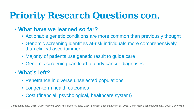# **Priority Research Questions con.**

## • **What have we learned so far?**

- Actionable genetic conditions are more common than previously thought
- Genomic screening identifies at-risk individuals more comprehensively than clinical ascertainment
- Majority of patients use genetic result to guide care
- Genomic screening can lead to early cancer diagnoses

## • **What's left?**

- Penetrance in diverse unselected populations
- Longer-term health outcomes
- Cost (financial, psychological, healthcare system)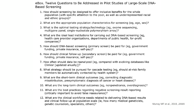eBox. Twelve Questions to Be Addressed in Pilot Studies of Large-Scale DNA-**Based Screening** 

- 1. How should screening be designed to offer inclusive benefits for the whole population (with specific attention to the poor, as well as underrepresented racial and ethnic groups)?
- 2. What are the appropriate population characteristics for screening (eg, age, sex)?
- 3. What is the optimal testing strategy/technology (eg, exome sequencing, multigene panel, single-nucleotide polymorphism array)?
- 4. What are the ideal lead institutions for carrying out DNA-based screening (eg, health care provider organizations, departments of public health, for-profit companies)?
- 5. How should DNA-based screening (primary screen) be paid for (eg, government funding, private insurance, self-pay)?
- 6. How should clinical follow-up (secondary screen) be paid for (eg, government funding, private insurance, self-pay)?
- 7. How often should data be reanalyzed (eg, compared with evolving databases like ClinVar [updated anually])?
- 8. What strategy should be pursued for cascade testing (eg, should at-risk family members be automatically contacted by health system)?
- 9. What are the short-term clinical outcomes (eg, correcting diagnostic misattribution, presymptomatic diagnosis of cancer or heart disease)?
- 10. What are the long-term clinical outcomes (eg, nonpenetrance, overdiagnosis)?
- 11. What are the best practices regarding negative screening result reporting (critically important to avoid false reassurance)?
- 12. What are the clinical workforce needs related to delivering DNA-based results and clinical follow-up at population scale (ie, how many medical geneticists, genetic counselors, specialists, others)?